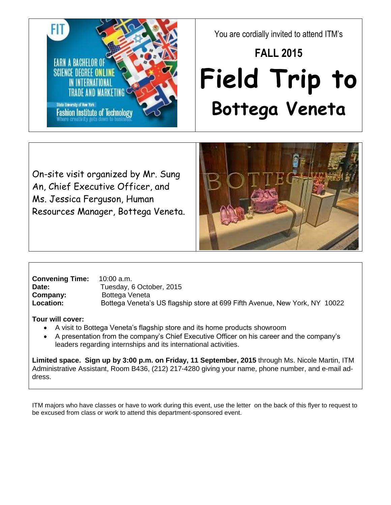FIT **EARN A BACHELOR OF** SCIENCE DEGREE ON State University of New York **Fashion Institute of Technology** 

You are cordially invited to attend ITM's

## **FALL 2015 Field Trip to Bottega Veneta**

On-site visit organized by Mr. Sung An, Chief Executive Officer, and Ms. Jessica Ferguson, Human Resources Manager, Bottega Veneta.



**Convening Time:** 10:00 a.m. Date: Tuesday, 6 October, 2015 **Company:** Bottega Veneta **Location:** Bottega Veneta's US flagship store at 699 Fifth Avenue, New York, NY 10022

## **Tour will cover:**

- A visit to Bottega Veneta's flagship store and its home products showroom
- A presentation from the company's Chief Executive Officer on his career and the company's leaders regarding internships and its international activities.

**Limited space. Sign up by 3:00 p.m. on Friday, 11 September, 2015** through Ms. Nicole Martin, ITM Administrative Assistant, Room B436, (212) 217-4280 giving your name, phone number, and e-mail address.

ITM majors who have classes or have to work during this event, use the letter on the back of this flyer to request to be excused from class or work to attend this department-sponsored event.